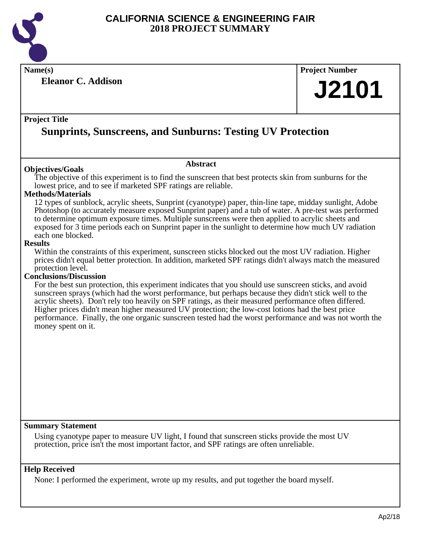

**Name(s) Project Number**

**Eleanor C. Addison**

# **J2101**

#### **Project Title**

## **Sunprints, Sunscreens, and Sunburns: Testing UV Protection**

#### **Objectives/Goals**

The objective of this experiment is to find the sunscreen that best protects skin from sunburns for the lowest price, and to see if marketed SPF ratings are reliable.

**Abstract**

#### **Methods/Materials**

12 types of sunblock, acrylic sheets, Sunprint (cyanotype) paper, thin-line tape, midday sunlight, Adobe Photoshop (to accurately measure exposed Sunprint paper) and a tub of water. A pre-test was performed to determine optimum exposure times. Multiple sunscreens were then applied to acrylic sheets and exposed for 3 time periods each on Sunprint paper in the sunlight to determine how much UV radiation each one blocked.

#### **Results**

Within the constraints of this experiment, sunscreen sticks blocked out the most UV radiation. Higher prices didn't equal better protection. In addition, marketed SPF ratings didn't always match the measured protection level.

#### **Conclusions/Discussion**

For the best sun protection, this experiment indicates that you should use sunscreen sticks, and avoid sunscreen sprays (which had the worst performance, but perhaps because they didn't stick well to the acrylic sheets). Don't rely too heavily on SPF ratings, as their measured performance often differed. Higher prices didn't mean higher measured UV protection; the low-cost lotions had the best price performance. Finally, the one organic sunscreen tested had the worst performance and was not worth the money spent on it.

#### **Summary Statement**

Using cyanotype paper to measure UV light, I found that sunscreen sticks provide the most UV protection, price isn't the most important factor, and SPF ratings are often unreliable.

#### **Help Received**

None: I performed the experiment, wrote up my results, and put together the board myself.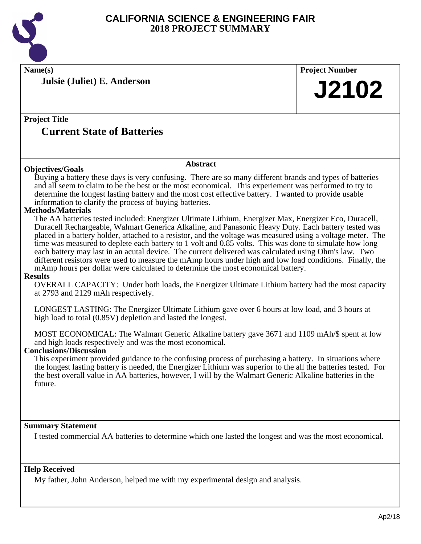

**Julsie (Juliet) E. Anderson**

**Name(s) Project Number**

## **J2102**

#### **Project Title Current State of Batteries**

#### **Abstract**

**Objectives/Goals** Buying a battery these days is very confusing. There are so many different brands and types of batteries and all seem to claim to be the best or the most economical. This experiement was performed to try to determine the longest lasting battery and the most cost effective battery. I wanted to provide usable information to clarify the process of buying batteries.

#### **Methods/Materials**

The AA batteries tested included: Energizer Ultimate Lithium, Energizer Max, Energizer Eco, Duracell, Duracell Rechargeable, Walmart Generica Alkaline, and Panasonic Heavy Duty. Each battery tested was placed in a battery holder, attached to a resistor, and the voltage was measured using a voltage meter. The time was measured to deplete each battery to 1 volt and 0.85 volts. This was done to simulate how long each battery may last in an acutal device. The current delivered was calculated using Ohm's law. Two different resistors were used to measure the mAmp hours under high and low load conditions. Finally, the mAmp hours per dollar were calculated to determine the most economical battery.

#### **Results**

OVERALL CAPACITY: Under both loads, the Energizer Ultimate Lithium battery had the most capacity at 2793 and 2129 mAh respectively.

LONGEST LASTING: The Energizer Ultimate Lithium gave over 6 hours at low load, and 3 hours at high load to total (0.85V) depletion and lasted the longest.

MOST ECONOMICAL: The Walmart Generic Alkaline battery gave 3671 and 1109 mAh/\$ spent at low and high loads respectively and was the most economical.

#### **Conclusions/Discussion**

This experiment provided guidance to the confusing process of purchasing a battery. In situations where the longest lasting battery is needed, the Energizer Lithium was superior to the all the batteries tested. For the best overall value in AA batteries, however, I will by the Walmart Generic Alkaline batteries in the future.

#### **Summary Statement**

I tested commercial AA batteries to determine which one lasted the longest and was the most economical.

#### **Help Received**

My father, John Anderson, helped me with my experimental design and analysis.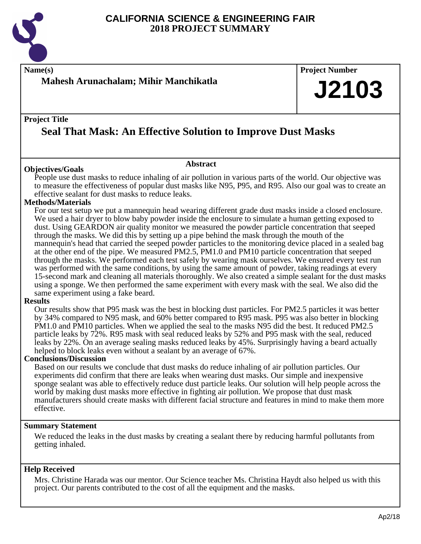

**Name(s) Project Number**

### **Mahesh Arunachalam; Mihir Manchikatla**

#### **Project Title**

## **Seal That Mask: An Effective Solution to Improve Dust Masks**

#### **Objectives/Goals**

People use dust masks to reduce inhaling of air pollution in various parts of the world. Our objective was to measure the effectiveness of popular dust masks like N95, P95, and R95. Also our goal was to create an effective sealant for dust masks to reduce leaks.

**Abstract**

#### **Methods/Materials**

For our test setup we put a mannequin head wearing different grade dust masks inside a closed enclosure. We used a hair dryer to blow baby powder inside the enclosure to simulate a human getting exposed to dust. Using GEARDON air quality monitor we measured the powder particle concentration that seeped through the masks. We did this by setting up a pipe behind the mask through the mouth of the mannequin's head that carried the seeped powder particles to the monitoring device placed in a sealed bag at the other end of the pipe. We measured PM2.5, PM1.0 and PM10 particle concentration that seeped through the masks. We performed each test safely by wearing mask ourselves. We ensured every test run was performed with the same conditions, by using the same amount of powder, taking readings at every 15-second mark and cleaning all materials thoroughly. We also created a simple sealant for the dust masks using a sponge. We then performed the same experiment with every mask with the seal. We also did the same experiment using a fake beard.

#### **Results**

Our results show that P95 mask was the best in blocking dust particles. For PM2.5 particles it was better by 34% compared to N95 mask, and 60% better compared to R95 mask. P95 was also better in blocking PM1.0 and PM10 particles. When we applied the seal to the masks N95 did the best. It reduced PM2.5 particle leaks by 72%. R95 mask with seal reduced leaks by 52% and P95 mask with the seal, reduced leaks by 22%. On an average sealing masks reduced leaks by 45%. Surprisingly having a beard actually helped to block leaks even without a sealant by an average of 67%.

#### **Conclusions/Discussion**

Based on our results we conclude that dust masks do reduce inhaling of air pollution particles. Our experiments did confirm that there are leaks when wearing dust masks. Our simple and inexpensive sponge sealant was able to effectively reduce dust particle leaks. Our solution will help people across the world by making dust masks more effective in fighting air pollution. We propose that dust mask manufacturers should create masks with different facial structure and features in mind to make them more effective.

#### **Summary Statement**

We reduced the leaks in the dust masks by creating a sealant there by reducing harmful pollutants from getting inhaled.

#### **Help Received**

Mrs. Christine Harada was our mentor. Our Science teacher Ms. Christina Haydt also helped us with this project. Our parents contributed to the cost of all the equipment and the masks.

**J2103**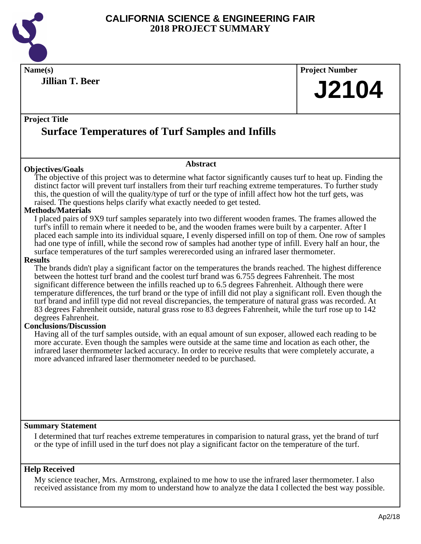

**Name(s) Project Number Project Title Abstract Jillian T. Beer Surface Temperatures of Turf Samples and Infills J2104 Objectives/Goals** The objective of this project was to determine what factor significantly causes turf to heat up. Finding the distinct factor will prevent turf installers from their turf reaching extreme temperatures. To further study this, the question of will the quality/type of turf or the type of infill affect how hot the turf gets, was raised. The questions helps clarify what exactly needed to get tested. **Methods/Materials** I placed pairs of 9X9 turf samples separately into two different wooden frames. The frames allowed the turf's infill to remain where it needed to be, and the wooden frames were built by a carpenter. After I placed each sample into its individual square, I evenly dispersed infill on top of them. One row of samples had one type of infill, while the second row of samples had another type of infill. Every half an hour, the surface temperatures of the turf samples wererecorded using an infrared laser thermometer. **Results** The brands didn't play a significant factor on the temperatures the brands reached. The highest difference between the hottest turf brand and the coolest turf brand was 6.755 degrees Fahrenheit. The most significant difference between the infills reached up to 6.5 degrees Fahrenheit. Although there were temperature differences, the turf brand or the type of infill did not play a significant roll. Even though the turf brand and infill type did not reveal discrepancies, the temperature of natural grass was recorded. At 83 degrees Fahrenheit outside, natural grass rose to 83 degrees Fahrenheit, while the turf rose up to 142 degrees Fahrenheit. **Conclusions/Discussion** Having all of the turf samples outside, with an equal amount of sun exposer, allowed each reading to be more accurate. Even though the samples were outside at the same time and location as each other, the infrared laser thermometer lacked accuracy. In order to receive results that were completely accurate, a more advanced infrared laser thermometer needed to be purchased.

#### **Summary Statement**

I determined that turf reaches extreme temperatures in comparision to natural grass, yet the brand of turf or the type of infill used in the turf does not play a significant factor on the temperature of the turf.

#### **Help Received**

My science teacher, Mrs. Armstrong, explained to me how to use the infrared laser thermometer. I also received assistance from my mom to understand how to analyze the data I collected the best way possible.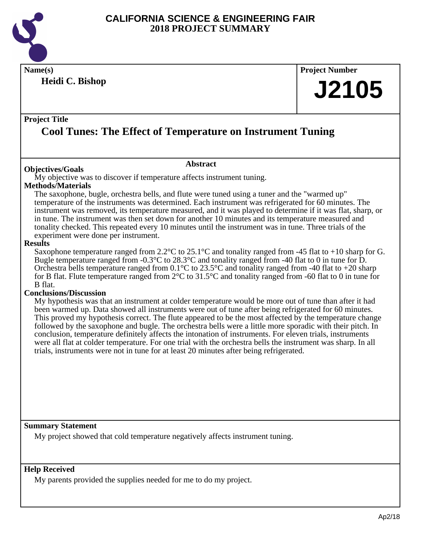

**Name(s) Project Number Heidi C. Bishop**

# **J2105**

#### **Project Title**

## **Cool Tunes: The Effect of Temperature on Instrument Tuning**

#### **Abstract**

**Objectives/Goals**

My objective was to discover if temperature affects instrument tuning.

#### **Methods/Materials**

The saxophone, bugle, orchestra bells, and flute were tuned using a tuner and the "warmed up" temperature of the instruments was determined. Each instrument was refrigerated for 60 minutes. The instrument was removed, its temperature measured, and it was played to determine if it was flat, sharp, or in tune. The instrument was then set down for another 10 minutes and its temperature measured and tonality checked. This repeated every 10 minutes until the instrument was in tune. Three trials of the experiment were done per instrument.

#### **Results**

Saxophone temperature ranged from  $2.2^{\circ}$ C to  $25.1^{\circ}$ C and tonality ranged from -45 flat to +10 sharp for G. Bugle temperature ranged from -0.3°C to 28.3°C and tonality ranged from -40 flat to 0 in tune for D. Orchestra bells temperature ranged from 0.1°C to 23.5°C and tonality ranged from -40 flat to +20 sharp for B flat. Flute temperature ranged from 2°C to 31.5°C and tonality ranged from -60 flat to 0 in tune for B flat.

#### **Conclusions/Discussion**

My hypothesis was that an instrument at colder temperature would be more out of tune than after it had been warmed up. Data showed all instruments were out of tune after being refrigerated for 60 minutes. This proved my hypothesis correct. The flute appeared to be the most affected by the temperature change followed by the saxophone and bugle. The orchestra bells were a little more sporadic with their pitch. In conclusion, temperature definitely affects the intonation of instruments. For eleven trials, instruments were all flat at colder temperature. For one trial with the orchestra bells the instrument was sharp. In all trials, instruments were not in tune for at least 20 minutes after being refrigerated.

#### **Summary Statement**

My project showed that cold temperature negatively affects instrument tuning.

#### **Help Received**

My parents provided the supplies needed for me to do my project.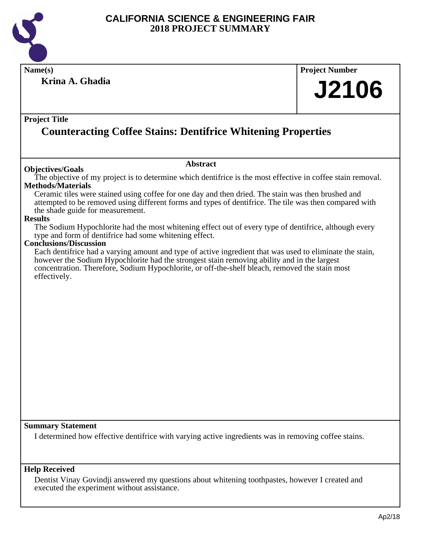

**Name(s) Project Number Project Title Abstract Summary Statement Krina A. Ghadia Counteracting Coffee Stains: Dentifrice Whitening Properties J2106 Objectives/Goals** The objective of my project is to determine which dentifrice is the most effective in coffee stain removal. **Methods/Materials** Ceramic tiles were stained using coffee for one day and then dried. The stain was then brushed and attempted to be removed using different forms and types of dentifrice. The tile was then compared with the shade guide for measurement. **Results** The Sodium Hypochlorite had the most whitening effect out of every type of dentifrice, although every type and form of dentifrice had some whitening effect. **Conclusions/Discussion** Each dentifrice had a varying amount and type of active ingredient that was used to eliminate the stain, however the Sodium Hypochlorite had the strongest stain removing ability and in the largest concentration. Therefore, Sodium Hypochlorite, or off-the-shelf bleach, removed the stain most effectively. I determined how effective dentifrice with varying active ingredients was in removing coffee stains.

#### **Help Received**

Dentist Vinay Govindji answered my questions about whitening toothpastes, however I created and executed the experiment without assistance.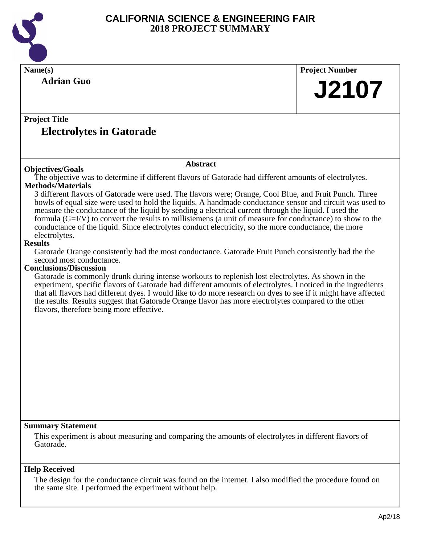

| Name(s)                                                                                                                                                                                                                                                                                                                                                                                                                                                                                  | <b>Project Number</b> |  |
|------------------------------------------------------------------------------------------------------------------------------------------------------------------------------------------------------------------------------------------------------------------------------------------------------------------------------------------------------------------------------------------------------------------------------------------------------------------------------------------|-----------------------|--|
| <b>Adrian Guo</b>                                                                                                                                                                                                                                                                                                                                                                                                                                                                        | <b>J2107</b>          |  |
|                                                                                                                                                                                                                                                                                                                                                                                                                                                                                          |                       |  |
| <b>Project Title</b>                                                                                                                                                                                                                                                                                                                                                                                                                                                                     |                       |  |
| <b>Electrolytes in Gatorade</b>                                                                                                                                                                                                                                                                                                                                                                                                                                                          |                       |  |
|                                                                                                                                                                                                                                                                                                                                                                                                                                                                                          |                       |  |
| <b>Abstract</b><br><b>Objectives/Goals</b>                                                                                                                                                                                                                                                                                                                                                                                                                                               |                       |  |
| The objective was to determine if different flavors of Gatorade had different amounts of electrolytes.<br><b>Methods/Materials</b>                                                                                                                                                                                                                                                                                                                                                       |                       |  |
| 3 different flavors of Gatorade were used. The flavors were; Orange, Cool Blue, and Fruit Punch. Three                                                                                                                                                                                                                                                                                                                                                                                   |                       |  |
| bowls of equal size were used to hold the liquids. A handmade conductance sensor and circuit was used to                                                                                                                                                                                                                                                                                                                                                                                 |                       |  |
| measure the conductance of the liquid by sending a electrical current through the liquid. I used the                                                                                                                                                                                                                                                                                                                                                                                     |                       |  |
| formula $(G=I/V)$ to convert the results to millisiemens (a unit of measure for conductance) to show to the<br>conductance of the liquid. Since electrolytes conduct electricity, so the more conductance, the more                                                                                                                                                                                                                                                                      |                       |  |
| electrolytes.                                                                                                                                                                                                                                                                                                                                                                                                                                                                            |                       |  |
| <b>Results</b>                                                                                                                                                                                                                                                                                                                                                                                                                                                                           |                       |  |
| Gatorade Orange consistently had the most conductance. Gatorade Fruit Punch consistently had the the                                                                                                                                                                                                                                                                                                                                                                                     |                       |  |
| second most conductance.<br><b>Conclusions/Discussion</b>                                                                                                                                                                                                                                                                                                                                                                                                                                |                       |  |
| Gatorade is commonly drunk during intense workouts to replenish lost electrolytes. As shown in the<br>experiment, specific flavors of Gatorade had different amounts of electrolytes. I noticed in the ingredients<br>that all flavors had different dyes. I would like to do more research on dyes to see if it might have affected<br>the results. Results suggest that Gatorade Orange flavor has more electrolytes compared to the other<br>flavors, therefore being more effective. |                       |  |
|                                                                                                                                                                                                                                                                                                                                                                                                                                                                                          |                       |  |
|                                                                                                                                                                                                                                                                                                                                                                                                                                                                                          |                       |  |
|                                                                                                                                                                                                                                                                                                                                                                                                                                                                                          |                       |  |
|                                                                                                                                                                                                                                                                                                                                                                                                                                                                                          |                       |  |
|                                                                                                                                                                                                                                                                                                                                                                                                                                                                                          |                       |  |
|                                                                                                                                                                                                                                                                                                                                                                                                                                                                                          |                       |  |
|                                                                                                                                                                                                                                                                                                                                                                                                                                                                                          |                       |  |
|                                                                                                                                                                                                                                                                                                                                                                                                                                                                                          |                       |  |
|                                                                                                                                                                                                                                                                                                                                                                                                                                                                                          |                       |  |
| <b>Summary Statement</b>                                                                                                                                                                                                                                                                                                                                                                                                                                                                 |                       |  |
| This experiment is about measuring and comparing the amounts of electrolytes in different flavors of<br>Gatorade.                                                                                                                                                                                                                                                                                                                                                                        |                       |  |
| <b>Help Received</b>                                                                                                                                                                                                                                                                                                                                                                                                                                                                     |                       |  |
| The design for the conductance circuit was found on the internet. I also modified the procedure found on<br>the same site. I performed the experiment without help.                                                                                                                                                                                                                                                                                                                      |                       |  |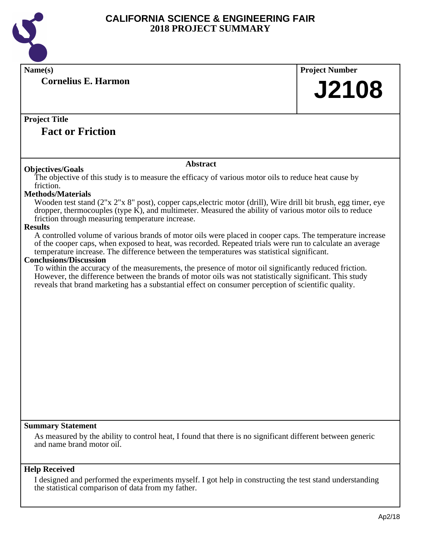

| Name(s)                                                                                                                                                                                                       | <b>Project Number</b> |
|---------------------------------------------------------------------------------------------------------------------------------------------------------------------------------------------------------------|-----------------------|
| <b>Cornelius E. Harmon</b>                                                                                                                                                                                    |                       |
|                                                                                                                                                                                                               | <b>J2108</b>          |
|                                                                                                                                                                                                               |                       |
|                                                                                                                                                                                                               |                       |
| <b>Project Title</b>                                                                                                                                                                                          |                       |
| <b>Fact or Friction</b>                                                                                                                                                                                       |                       |
|                                                                                                                                                                                                               |                       |
|                                                                                                                                                                                                               |                       |
| <b>Abstract</b><br><b>Objectives/Goals</b>                                                                                                                                                                    |                       |
| The objective of this study is to measure the efficacy of various motor oils to reduce heat cause by                                                                                                          |                       |
| friction.                                                                                                                                                                                                     |                       |
| <b>Methods/Materials</b>                                                                                                                                                                                      |                       |
| Wooden test stand (2"x 2"x 8" post), copper caps, electric motor (drill), Wire drill bit brush, egg timer, eye                                                                                                |                       |
| dropper, thermocouples (type K), and multimeter. Measured the ability of various motor oils to reduce<br>friction through measuring temperature increase.                                                     |                       |
| <b>Results</b>                                                                                                                                                                                                |                       |
| A controlled volume of various brands of motor oils were placed in cooper caps. The temperature increase                                                                                                      |                       |
| of the cooper caps, when exposed to heat, was recorded. Repeated trials were run to calculate an average                                                                                                      |                       |
| temperature increase. The difference between the temperatures was statistical significant.                                                                                                                    |                       |
| <b>Conclusions/Discussion</b>                                                                                                                                                                                 |                       |
| To within the accuracy of the measurements, the presence of motor oil significantly reduced friction.                                                                                                         |                       |
| However, the difference between the brands of motor oils was not statistically significant. This study<br>reveals that brand marketing has a substantial effect on consumer perception of scientific quality. |                       |
|                                                                                                                                                                                                               |                       |
|                                                                                                                                                                                                               |                       |
|                                                                                                                                                                                                               |                       |
|                                                                                                                                                                                                               |                       |
|                                                                                                                                                                                                               |                       |
|                                                                                                                                                                                                               |                       |
|                                                                                                                                                                                                               |                       |
|                                                                                                                                                                                                               |                       |
|                                                                                                                                                                                                               |                       |
|                                                                                                                                                                                                               |                       |
|                                                                                                                                                                                                               |                       |
|                                                                                                                                                                                                               |                       |
|                                                                                                                                                                                                               |                       |
|                                                                                                                                                                                                               |                       |
| <b>Summary Statement</b>                                                                                                                                                                                      |                       |
| As measured by the ability to control heat, I found that there is no significant different between generic                                                                                                    |                       |
| and name brand motor oil.                                                                                                                                                                                     |                       |
|                                                                                                                                                                                                               |                       |
| <b>Help Received</b>                                                                                                                                                                                          |                       |
| I designed and performed the experiments myself. I got help in constructing the test stand understanding                                                                                                      |                       |
| the statistical comparison of data from my father.                                                                                                                                                            |                       |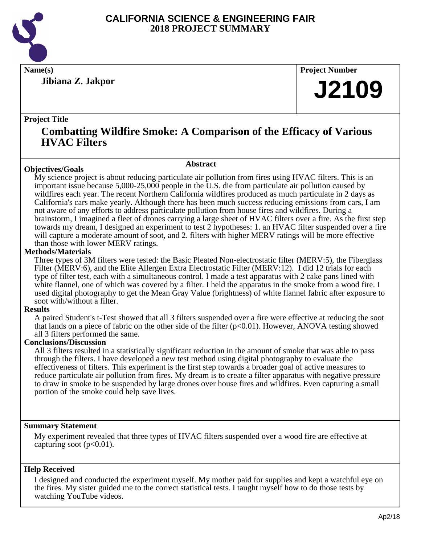

**Jibiana Z. Jakpor**

**Name(s) Project Number**

## **J2109**

#### **Project Title**

## **Combatting Wildfire Smoke: A Comparison of the Efficacy of Various HVAC Filters**

#### **Objectives/Goals**

**Abstract**

My science project is about reducing particulate air pollution from fires using HVAC filters. This is an important issue because 5,000-25,000 people in the U.S. die from particulate air pollution caused by wildfires each year. The recent Northern California wildfires produced as much particulate in 2 days as California's cars make yearly. Although there has been much success reducing emissions from cars, I am not aware of any efforts to address particulate pollution from house fires and wildfires. During a brainstorm, I imagined a fleet of drones carrying a large sheet of HVAC filters over a fire. As the first step towards my dream, I designed an experiment to test 2 hypotheses: 1. an HVAC filter suspended over a fire will capture a moderate amount of soot, and 2. filters with higher MERV ratings will be more effective than those with lower MERV ratings.

#### **Methods/Materials**

Three types of 3M filters were tested: the Basic Pleated Non-electrostatic filter (MERV:5), the Fiberglass Filter (MERV:6), and the Elite Allergen Extra Electrostatic Filter (MERV:12). I did 12 trials for each type of filter test, each with a simultaneous control. I made a test apparatus with 2 cake pans lined with white flannel, one of which was covered by a filter. I held the apparatus in the smoke from a wood fire. I used digital photography to get the Mean Gray Value (brightness) of white flannel fabric after exposure to soot with/without a filter.

#### **Results**

A paired Student's t-Test showed that all 3 filters suspended over a fire were effective at reducing the soot that lands on a piece of fabric on the other side of the filter  $(p<0.01)$ . However, ANOVA testing showed all 3 filters performed the same.

#### **Conclusions/Discussion**

All 3 filters resulted in a statistically significant reduction in the amount of smoke that was able to pass through the filters. I have developed a new test method using digital photography to evaluate the effectiveness of filters. This experiment is the first step towards a broader goal of active measures to reduce particulate air pollution from fires. My dream is to create a filter apparatus with negative pressure to draw in smoke to be suspended by large drones over house fires and wildfires. Even capturing a small portion of the smoke could help save lives.

#### **Summary Statement**

My experiment revealed that three types of HVAC filters suspended over a wood fire are effective at capturing soot  $(p<0.01)$ .

#### **Help Received**

I designed and conducted the experiment myself. My mother paid for supplies and kept a watchful eye on the fires. My sister guided me to the correct statistical tests. I taught myself how to do those tests by watching YouTube videos.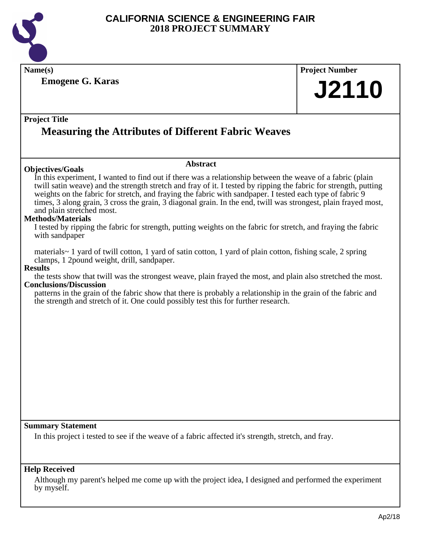

**Name(s) Project Number**

**Emogene G. Karas**

**J2110**

#### **Project Title**

## **Measuring the Attributes of Different Fabric Weaves**

#### **Objectives/Goals**

In this experiment, I wanted to find out if there was a relationship between the weave of a fabric (plain twill satin weave) and the strength stretch and fray of it. I tested by ripping the fabric for strength, putting weights on the fabric for stretch, and fraying the fabric with sandpaper. I tested each type of fabric 9 times, 3 along grain, 3 cross the grain, 3 diagonal grain. In the end, twill was strongest, plain frayed most, and plain stretched most.

**Abstract**

#### **Methods/Materials**

I tested by ripping the fabric for strength, putting weights on the fabric for stretch, and fraying the fabric with sandpaper

materials~ 1 yard of twill cotton, 1 yard of satin cotton, 1 yard of plain cotton, fishing scale, 2 spring clamps, 1 2pound weight, drill, sandpaper.

#### **Results**

the tests show that twill was the strongest weave, plain frayed the most, and plain also stretched the most. **Conclusions/Discussion**

patterns in the grain of the fabric show that there is probably a relationship in the grain of the fabric and the strength and stretch of it. One could possibly test this for further research.

**Summary Statement**

In this project i tested to see if the weave of a fabric affected it's strength, stretch, and fray.

#### **Help Received**

Although my parent's helped me come up with the project idea, I designed and performed the experiment by myself.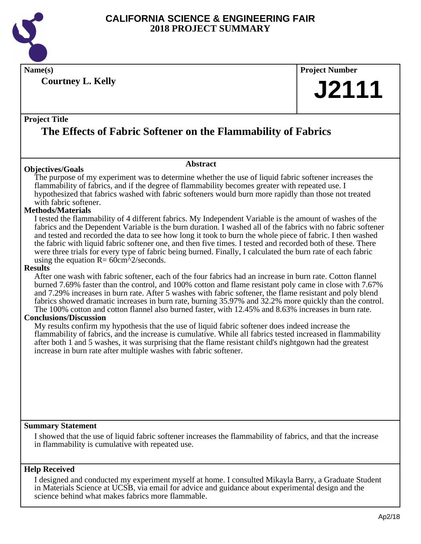

**Name(s) Project Number**

**Courtney L. Kelly**

# **J2111**

#### **Project Title**

## **The Effects of Fabric Softener on the Flammability of Fabrics**

#### **Objectives/Goals**

The purpose of my experiment was to determine whether the use of liquid fabric softener increases the flammability of fabrics, and if the degree of flammability becomes greater with repeated use. I hypothesized that fabrics washed with fabric softeners would burn more rapidly than those not treated with fabric softener.

**Abstract**

#### **Methods/Materials**

I tested the flammability of 4 different fabrics. My Independent Variable is the amount of washes of the fabrics and the Dependent Variable is the burn duration. I washed all of the fabrics with no fabric softener and tested and recorded the data to see how long it took to burn the whole piece of fabric. I then washed the fabric with liquid fabric softener one, and then five times. I tested and recorded both of these. There were three trials for every type of fabric being burned. Finally, I calculated the burn rate of each fabric using the equation  $R = 60 \text{cm}^2/$  seconds.

#### **Results**

After one wash with fabric softener, each of the four fabrics had an increase in burn rate. Cotton flannel burned 7.69% faster than the control, and 100% cotton and flame resistant poly came in close with 7.67% and 7.29% increases in burn rate. After 5 washes with fabric softener, the flame resistant and poly blend fabrics showed dramatic increases in burn rate, burning 35.97% and 32.2% more quickly than the control. The 100% cotton and cotton flannel also burned faster, with 12.45% and 8.63% increases in burn rate.

#### **Conclusions/Discussion**

My results confirm my hypothesis that the use of liquid fabric softener does indeed increase the flammability of fabrics, and the increase is cumulative. While all fabrics tested increased in flammability after both 1 and 5 washes, it was surprising that the flame resistant child's nightgown had the greatest increase in burn rate after multiple washes with fabric softener.

#### **Summary Statement**

I showed that the use of liquid fabric softener increases the flammability of fabrics, and that the increase in flammability is cumulative with repeated use.

#### **Help Received**

I designed and conducted my experiment myself at home. I consulted Mikayla Barry, a Graduate Student in Materials Science at UCSB, via email for advice and guidance about experimental design and the science behind what makes fabrics more flammable.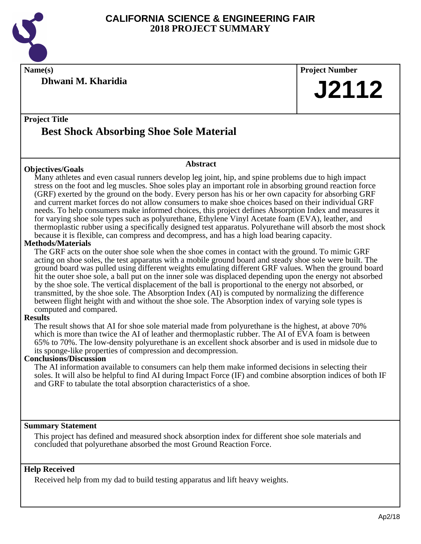

**Dhwani M. Kharidia**

**Name(s) Project Number J2112**

### **Project Title Best Shock Absorbing Shoe Sole Material**

#### **Objectives/Goals**

**Abstract**

Many athletes and even casual runners develop leg joint, hip, and spine problems due to high impact stress on the foot and leg muscles. Shoe soles play an important role in absorbing ground reaction force (GRF) exerted by the ground on the body. Every person has his or her own capacity for absorbing GRF and current market forces do not allow consumers to make shoe choices based on their individual GRF needs. To help consumers make informed choices, this project defines Absorption Index and measures it for varying shoe sole types such as polyurethane, Ethylene Vinyl Acetate foam (EVA), leather, and thermoplastic rubber using a specifically designed test apparatus. Polyurethane will absorb the most shock because it is flexible, can compress and decompress, and has a high load bearing capacity.

#### **Methods/Materials**

The GRF acts on the outer shoe sole when the shoe comes in contact with the ground. To mimic GRF acting on shoe soles, the test apparatus with a mobile ground board and steady shoe sole were built. The ground board was pulled using different weights emulating different GRF values. When the ground board hit the outer shoe sole, a ball put on the inner sole was displaced depending upon the energy not absorbed by the shoe sole. The vertical displacement of the ball is proportional to the energy not absorbed, or transmitted, by the shoe sole. The Absorption Index (AI) is computed by normalizing the difference between flight height with and without the shoe sole. The Absorption index of varying sole types is computed and compared.

#### **Results**

The result shows that AI for shoe sole material made from polyurethane is the highest, at above 70% which is more than twice the AI of leather and thermoplastic rubber. The AI of EVA foam is between 65% to 70%. The low-density polyurethane is an excellent shock absorber and is used in midsole due to its sponge-like properties of compression and decompression.

#### **Conclusions/Discussion**

The AI information available to consumers can help them make informed decisions in selecting their soles. It will also be helpful to find AI during Impact Force (IF) and combine absorption indices of both IF and GRF to tabulate the total absorption characteristics of a shoe.

#### **Summary Statement**

This project has defined and measured shock absorption index for different shoe sole materials and concluded that polyurethane absorbed the most Ground Reaction Force.

#### **Help Received**

Received help from my dad to build testing apparatus and lift heavy weights.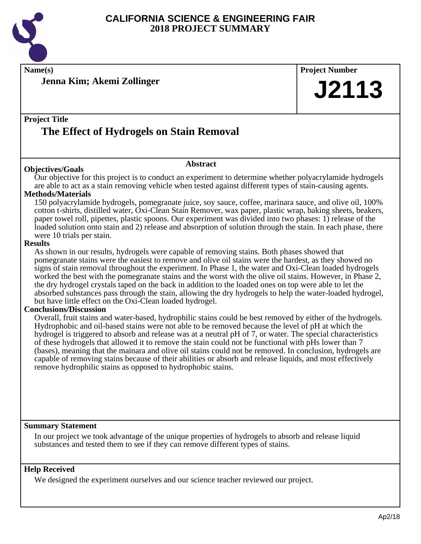

**Name(s) Project Number**

**Jenna Kim; Akemi Zollinger**

# **J2113**

## **Project Title The Effect of Hydrogels on Stain Removal**

#### **Objectives/Goals**

#### **Abstract**

Our objective for this project is to conduct an experiment to determine whether polyacrylamide hydrogels are able to act as a stain removing vehicle when tested against different types of stain-causing agents.

#### **Methods/Materials**

150 polyacrylamide hydrogels, pomegranate juice, soy sauce, coffee, marinara sauce, and olive oil, 100% cotton t-shirts, distilled water, Oxi-Clean Stain Remover, wax paper, plastic wrap, baking sheets, beakers, paper towel roll, pipettes, plastic spoons. Our experiment was divided into two phases: 1) release of the loaded solution onto stain and 2) release and absorption of solution through the stain. In each phase, there were 10 trials per stain.

#### **Results**

As shown in our results, hydrogels were capable of removing stains. Both phases showed that pomegranate stains were the easiest to remove and olive oil stains were the hardest, as they showed no signs of stain removal throughout the experiment. In Phase 1, the water and Oxi-Clean loaded hydrogels worked the best with the pomegranate stains and the worst with the olive oil stains. However, in Phase 2, the dry hydrogel crystals taped on the back in addition to the loaded ones on top were able to let the absorbed substances pass through the stain, allowing the dry hydrogels to help the water-loaded hydrogel, but have little effect on the Oxi-Clean loaded hydrogel.

#### **Conclusions/Discussion**

Overall, fruit stains and water-based, hydrophilic stains could be best removed by either of the hydrogels. Hydrophobic and oil-based stains were not able to be removed because the level of pH at which the hydrogel is triggered to absorb and release was at a neutral pH of 7, or water. The special characteristics of these hydrogels that allowed it to remove the stain could not be functional with pHs lower than 7 (bases), meaning that the mainara and olive oil stains could not be removed. In conclusion, hydrogels are capable of removing stains because of their abilities or absorb and release liquids, and most effectively remove hydrophilic stains as opposed to hydrophobic stains.

#### **Summary Statement**

In our project we took advantage of the unique properties of hydrogels to absorb and release liquid substances and tested them to see if they can remove different types of stains.

#### **Help Received**

We designed the experiment ourselves and our science teacher reviewed our project.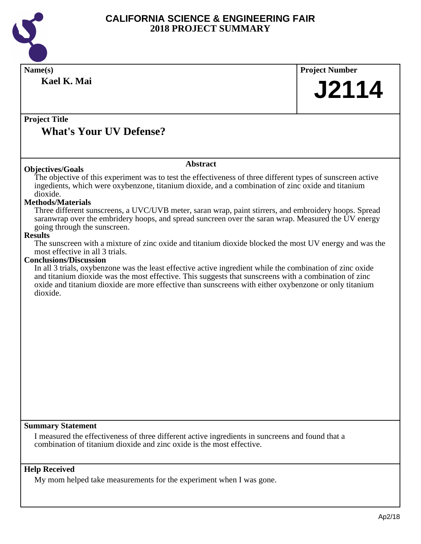

| Name(s)<br>Kael K. Mai                                                                                                                                                                                                                                                                                                                                                                                                                                                                                                                                                                                                                                                                                                                                                                                                                                                                                                                                                                                                                              | <b>Project Number</b><br><b>J2114</b> |
|-----------------------------------------------------------------------------------------------------------------------------------------------------------------------------------------------------------------------------------------------------------------------------------------------------------------------------------------------------------------------------------------------------------------------------------------------------------------------------------------------------------------------------------------------------------------------------------------------------------------------------------------------------------------------------------------------------------------------------------------------------------------------------------------------------------------------------------------------------------------------------------------------------------------------------------------------------------------------------------------------------------------------------------------------------|---------------------------------------|
| <b>Project Title</b><br><b>What's Your UV Defense?</b>                                                                                                                                                                                                                                                                                                                                                                                                                                                                                                                                                                                                                                                                                                                                                                                                                                                                                                                                                                                              |                                       |
| <b>Abstract</b><br><b>Objectives/Goals</b>                                                                                                                                                                                                                                                                                                                                                                                                                                                                                                                                                                                                                                                                                                                                                                                                                                                                                                                                                                                                          |                                       |
| The objective of this experiment was to test the effectiveness of three different types of sunscreen active<br>ingedients, which were oxybenzone, titanium dioxide, and a combination of zinc oxide and titanium<br>dioxide.<br><b>Methods/Materials</b><br>Three different sunscreens, a UVC/UVB meter, saran wrap, paint stirrers, and embroidery hoops. Spread<br>saranwrap over the embridery hoops, and spread suncreen over the saran wrap. Measured the UV energy<br>going through the sunscreen.<br><b>Results</b><br>The sunscreen with a mixture of zinc oxide and titanium dioxide blocked the most UV energy and was the<br>most effective in all 3 trials.<br><b>Conclusions/Discussion</b><br>In all 3 trials, oxybenzone was the least effective active ingredient while the combination of zinc oxide<br>and titanium dioxide was the most effective. This suggests that sunscreens with a combination of zinc<br>oxide and titanium dioxide are more effective than sunscreens with either oxybenzone or only titanium<br>dioxide. |                                       |
| <b>Summary Statement</b><br>I measured the effectiveness of three different active ingredients in suncreens and found that a<br>combination of titanium dioxide and zinc oxide is the most effective.                                                                                                                                                                                                                                                                                                                                                                                                                                                                                                                                                                                                                                                                                                                                                                                                                                               |                                       |
| <b>Help Received</b><br>My mom helped take measurements for the experiment when I was gone.                                                                                                                                                                                                                                                                                                                                                                                                                                                                                                                                                                                                                                                                                                                                                                                                                                                                                                                                                         |                                       |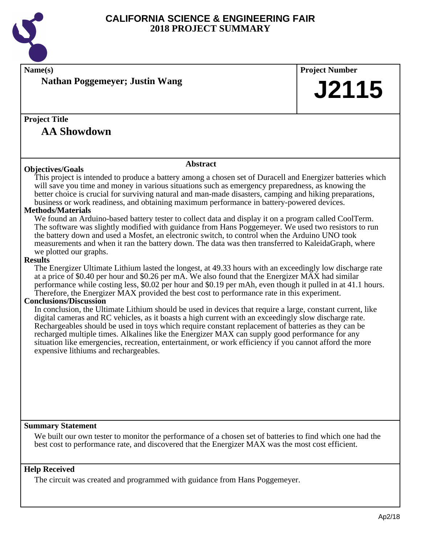

| Name(s)                                                                                                                                                                                                      | <b>Project Number</b> |  |
|--------------------------------------------------------------------------------------------------------------------------------------------------------------------------------------------------------------|-----------------------|--|
| <b>Nathan Poggemeyer; Justin Wang</b>                                                                                                                                                                        |                       |  |
|                                                                                                                                                                                                              | J2115                 |  |
|                                                                                                                                                                                                              |                       |  |
| <b>Project Title</b>                                                                                                                                                                                         |                       |  |
|                                                                                                                                                                                                              |                       |  |
| <b>AA Showdown</b>                                                                                                                                                                                           |                       |  |
|                                                                                                                                                                                                              |                       |  |
| <b>Abstract</b>                                                                                                                                                                                              |                       |  |
| <b>Objectives/Goals</b>                                                                                                                                                                                      |                       |  |
| This project is intended to produce a battery among a chosen set of Duracell and Energizer batteries which                                                                                                   |                       |  |
| will save you time and money in various situations such as emergency preparedness, as knowing the<br>better choice is crucial for surviving natural and man-made disasters, camping and hiking preparations, |                       |  |
| business or work readiness, and obtaining maximum performance in battery-powered devices.                                                                                                                    |                       |  |
| <b>Methods/Materials</b>                                                                                                                                                                                     |                       |  |
| We found an Arduino-based battery tester to collect data and display it on a program called CoolTerm.                                                                                                        |                       |  |
| The software was slightly modified with guidance from Hans Poggemeyer. We used two resistors to run                                                                                                          |                       |  |
| the battery down and used a Mosfet, an electronic switch, to control when the Arduino UNO took                                                                                                               |                       |  |
| measurements and when it ran the battery down. The data was then transferred to KaleidaGraph, where                                                                                                          |                       |  |
| we plotted our graphs.                                                                                                                                                                                       |                       |  |
| <b>Results</b><br>The Energizer Ultimate Lithium lasted the longest, at 49.33 hours with an exceedingly low discharge rate                                                                                   |                       |  |
| at a price of \$0.40 per hour and \$0.26 per mA. We also found that the Energizer MAX had similar                                                                                                            |                       |  |
| performance while costing less, \$0.02 per hour and \$0.19 per mAh, even though it pulled in at 41.1 hours.                                                                                                  |                       |  |
| Therefore, the Energizer MAX provided the best cost to performance rate in this experiment.                                                                                                                  |                       |  |
| <b>Conclusions/Discussion</b>                                                                                                                                                                                |                       |  |
| In conclusion, the Ultimate Lithium should be used in devices that require a large, constant current, like                                                                                                   |                       |  |
| digital cameras and RC vehicles, as it boasts a high current with an exceedingly slow discharge rate.                                                                                                        |                       |  |
| Rechargeables should be used in toys which require constant replacement of batteries as they can be                                                                                                          |                       |  |
| recharged multiple times. Alkalines like the Energizer MAX can supply good performance for any<br>situation like emergencies, recreation, entertainment, or work efficiency if you cannot afford the more    |                       |  |
| expensive lithiums and rechargeables.                                                                                                                                                                        |                       |  |
|                                                                                                                                                                                                              |                       |  |
|                                                                                                                                                                                                              |                       |  |
|                                                                                                                                                                                                              |                       |  |
|                                                                                                                                                                                                              |                       |  |
|                                                                                                                                                                                                              |                       |  |
|                                                                                                                                                                                                              |                       |  |
|                                                                                                                                                                                                              |                       |  |
| <b>Summary Statement</b>                                                                                                                                                                                     |                       |  |
| We built our own tester to monitor the performance of a chosen set of batteries to find which one had the                                                                                                    |                       |  |
| best cost to performance rate, and discovered that the Energizer MAX was the most cost efficient.                                                                                                            |                       |  |

#### **Help Received**

The circuit was created and programmed with guidance from Hans Poggemeyer.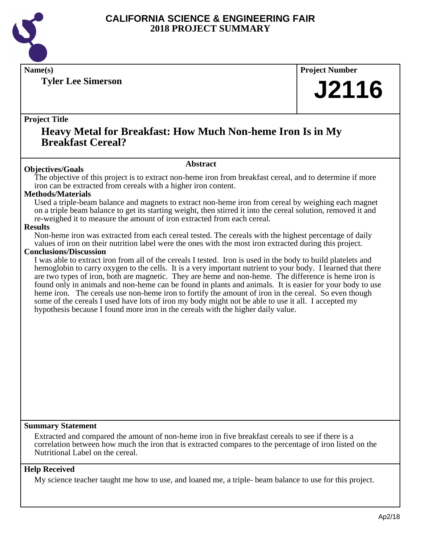

**Tyler Lee Simerson**

## **Name(s) Project Number J2116**

#### **Project Title**

## **Heavy Metal for Breakfast: How Much Non-heme Iron Is in My Breakfast Cereal?**

#### **Abstract**

**Objectives/Goals** The objective of this project is to extract non-heme iron from breakfast cereal, and to determine if more iron can be extracted from cereals with a higher iron content.

#### **Methods/Materials**

Used a triple-beam balance and magnets to extract non-heme iron from cereal by weighing each magnet on a triple beam balance to get its starting weight, then stirred it into the cereal solution, removed it and re-weighed it to measure the amount of iron extracted from each cereal.

#### **Results**

Non-heme iron was extracted from each cereal tested. The cereals with the highest percentage of daily values of iron on their nutrition label were the ones with the most iron extracted during this project.

#### **Conclusions/Discussion**

I was able to extract iron from all of the cereals I tested. Iron is used in the body to build platelets and hemoglobin to carry oxygen to the cells. It is a very important nutrient to your body. I learned that there are two types of iron, both are magnetic. They are heme and non-heme. The difference is heme iron is found only in animals and non-heme can be found in plants and animals. It is easier for your body to use heme iron. The cereals use non-heme iron to fortify the amount of iron in the cereal. So even though some of the cereals I used have lots of iron my body might not be able to use it all. I accepted my hypothesis because I found more iron in the cereals with the higher daily value.

#### **Summary Statement**

Extracted and compared the amount of non-heme iron in five breakfast cereals to see if there is a correlation between how much the iron that is extracted compares to the percentage of iron listed on the Nutritional Label on the cereal.

#### **Help Received**

My science teacher taught me how to use, and loaned me, a triple- beam balance to use for this project.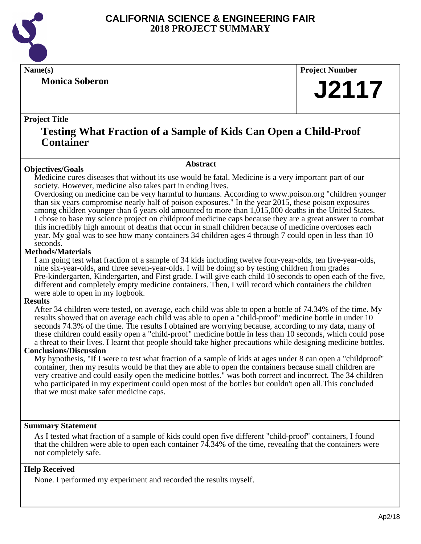

**Monica Soberon**

**Name(s) Project Number**

## **J2117**

#### **Project Title**

## **Testing What Fraction of a Sample of Kids Can Open a Child-Proof Container**

#### **Objectives/Goals**

Medicine cures diseases that without its use would be fatal. Medicine is a very important part of our society. However, medicine also takes part in ending lives.

**Abstract**

Overdosing on medicine can be very harmful to humans. According to www.poison.org "children younger than six years compromise nearly half of poison exposures." In the year 2015, these poison exposures among children younger than 6 years old amounted to more than 1,015,000 deaths in the United States. I chose to base my science project on childproof medicine caps because they are a great answer to combat this incredibly high amount of deaths that occur in small children because of medicine overdoses each year. My goal was to see how many containers 34 children ages 4 through 7 could open in less than 10 seconds.

#### **Methods/Materials**

I am going test what fraction of a sample of 34 kids including twelve four-year-olds, ten five-year-olds, nine six-year-olds, and three seven-year-olds. I will be doing so by testing children from grades Pre-kindergarten, Kindergarten, and First grade. I will give each child 10 seconds to open each of the five, different and completely empty medicine containers. Then, I will record which containers the children were able to open in my logbook.

#### **Results**

After 34 children were tested, on average, each child was able to open a bottle of 74.34% of the time. My results showed that on average each child was able to open a "child-proof" medicine bottle in under 10 seconds 74.3% of the time. The results I obtained are worrying because, according to my data, many of these children could easily open a "child-proof" medicine bottle in less than 10 seconds, which could pose a threat to their lives. I learnt that people should take higher precautions while designing medicine bottles.

#### **Conclusions/Discussion**

My hypothesis, "If I were to test what fraction of a sample of kids at ages under 8 can open a "childproof" container, then my results would be that they are able to open the containers because small children are very creative and could easily open the medicine bottles." was both correct and incorrect. The 34 children who participated in my experiment could open most of the bottles but couldn't open all.This concluded that we must make safer medicine caps.

#### **Summary Statement**

As I tested what fraction of a sample of kids could open five different "child-proof" containers, I found that the children were able to open each container 74.34% of the time, revealing that the containers were not completely safe.

#### **Help Received**

None. I performed my experiment and recorded the results myself.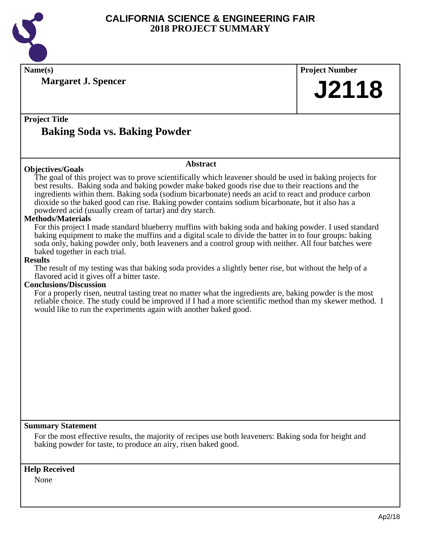

| Name(s)                                                                                                                                                                                                              | <b>Project Number</b> |  |
|----------------------------------------------------------------------------------------------------------------------------------------------------------------------------------------------------------------------|-----------------------|--|
| <b>Margaret J. Spencer</b>                                                                                                                                                                                           |                       |  |
|                                                                                                                                                                                                                      | <b>J2118</b>          |  |
|                                                                                                                                                                                                                      |                       |  |
|                                                                                                                                                                                                                      |                       |  |
| <b>Project Title</b>                                                                                                                                                                                                 |                       |  |
| <b>Baking Soda vs. Baking Powder</b>                                                                                                                                                                                 |                       |  |
|                                                                                                                                                                                                                      |                       |  |
|                                                                                                                                                                                                                      |                       |  |
| <b>Abstract</b>                                                                                                                                                                                                      |                       |  |
| <b>Objectives/Goals</b>                                                                                                                                                                                              |                       |  |
| The goal of this project was to prove scientifically which leavener should be used in baking projects for<br>best results. Baking soda and baking powder make baked goods rise due to their reactions and the        |                       |  |
| ingredients within them. Baking soda (sodium bicarbonate) needs an acid to react and produce carbon                                                                                                                  |                       |  |
| dioxide so the baked good can rise. Baking powder contains sodium bicarbonate, but it also has a                                                                                                                     |                       |  |
| powdered acid (usually cream of tartar) and dry starch.                                                                                                                                                              |                       |  |
| <b>Methods/Materials</b>                                                                                                                                                                                             |                       |  |
| For this project I made standard blueberry muffins with baking soda and baking powder. I used standard                                                                                                               |                       |  |
| baking equipment to make the muffins and a digital scale to divide the batter in to four groups: baking<br>soda only, baking powder only, both leaveners and a control group with neither. All four batches were     |                       |  |
| baked together in each trial.                                                                                                                                                                                        |                       |  |
| <b>Results</b>                                                                                                                                                                                                       |                       |  |
| The result of my testing was that baking soda provides a slightly better rise, but without the help of a                                                                                                             |                       |  |
| flavored acid it gives off a bitter taste.                                                                                                                                                                           |                       |  |
| <b>Conclusions/Discussion</b>                                                                                                                                                                                        |                       |  |
| For a properly risen, neutral tasting treat no matter what the ingredients are, baking powder is the most<br>reliable choice. The study could be improved if I had a more scientific method than my skewer method. I |                       |  |
| would like to run the experiments again with another baked good.                                                                                                                                                     |                       |  |
|                                                                                                                                                                                                                      |                       |  |
|                                                                                                                                                                                                                      |                       |  |
|                                                                                                                                                                                                                      |                       |  |
|                                                                                                                                                                                                                      |                       |  |
|                                                                                                                                                                                                                      |                       |  |
|                                                                                                                                                                                                                      |                       |  |
|                                                                                                                                                                                                                      |                       |  |
|                                                                                                                                                                                                                      |                       |  |
|                                                                                                                                                                                                                      |                       |  |
|                                                                                                                                                                                                                      |                       |  |
|                                                                                                                                                                                                                      |                       |  |
| <b>Summary Statement</b>                                                                                                                                                                                             |                       |  |
|                                                                                                                                                                                                                      |                       |  |
| For the most effective results, the majority of recipes use both leaveners: Baking soda for height and<br>baking powder for taste, to produce an airy, risen baked good.                                             |                       |  |
|                                                                                                                                                                                                                      |                       |  |
|                                                                                                                                                                                                                      |                       |  |
| <b>Help Received</b>                                                                                                                                                                                                 |                       |  |

None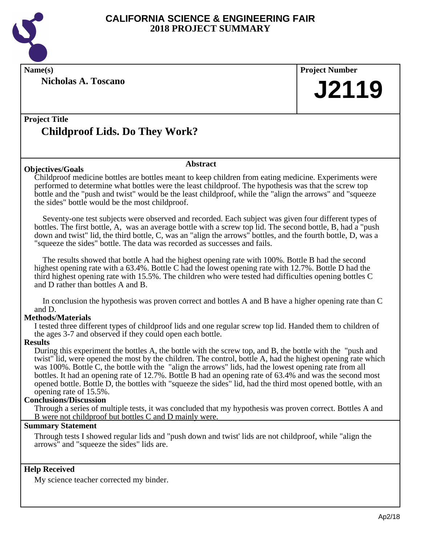

**Nicholas A. Toscano**

**Name(s) Project Number J2119**

## **Project Title Childproof Lids. Do They Work?**

#### **Objectives/Goals**

Childproof medicine bottles are bottles meant to keep children from eating medicine. Experiments were performed to determine what bottles were the least childproof. The hypothesis was that the screw top bottle and the "push and twist" would be the least childproof, while the "align the arrows" and "squeeze the sides" bottle would be the most childproof.

**Abstract**

 Seventy-one test subjects were observed and recorded. Each subject was given four different types of bottles. The first bottle, A, was an average bottle with a screw top lid. The second bottle, B, had a "push down and twist" lid, the third bottle, C, was an "align the arrows" bottles, and the fourth bottle, D, was a "squeeze the sides" bottle. The data was recorded as successes and fails.

 The results showed that bottle A had the highest opening rate with 100%. Bottle B had the second highest opening rate with a 63.4%. Bottle C had the lowest opening rate with 12.7%. Bottle D had the third highest opening rate with 15.5%. The children who were tested had difficulties opening bottles C and D rather than bottles A and B.

 In conclusion the hypothesis was proven correct and bottles A and B have a higher opening rate than C and D.

#### **Methods/Materials**

I tested three different types of childproof lids and one regular screw top lid. Handed them to children of the ages 3-7 and observed if they could open each bottle.

#### **Results**

During this experiment the bottles A, the bottle with the screw top, and B, the bottle with the "push and twist" lid, were opened the most by the children. The control, bottle A, had the highest opening rate which was 100%. Bottle C, the bottle with the "align the arrows" lids, had the lowest opening rate from all bottles. It had an opening rate of 12.7%. Bottle B had an opening rate of 63.4% and was the second most opened bottle. Bottle D, the bottles with "squeeze the sides" lid, had the third most opened bottle, with an opening rate of 15.5%.

#### **Conclusions/Discussion**

Through a series of multiple tests, it was concluded that my hypothesis was proven correct. Bottles A and B were not childproof but bottles C and D mainly were.

#### **Summary Statement**

Through tests I showed regular lids and "push down and twist' lids are not childproof, while "align the arrows" and "squeeze the sides" lids are.

#### **Help Received**

My science teacher corrected my binder.